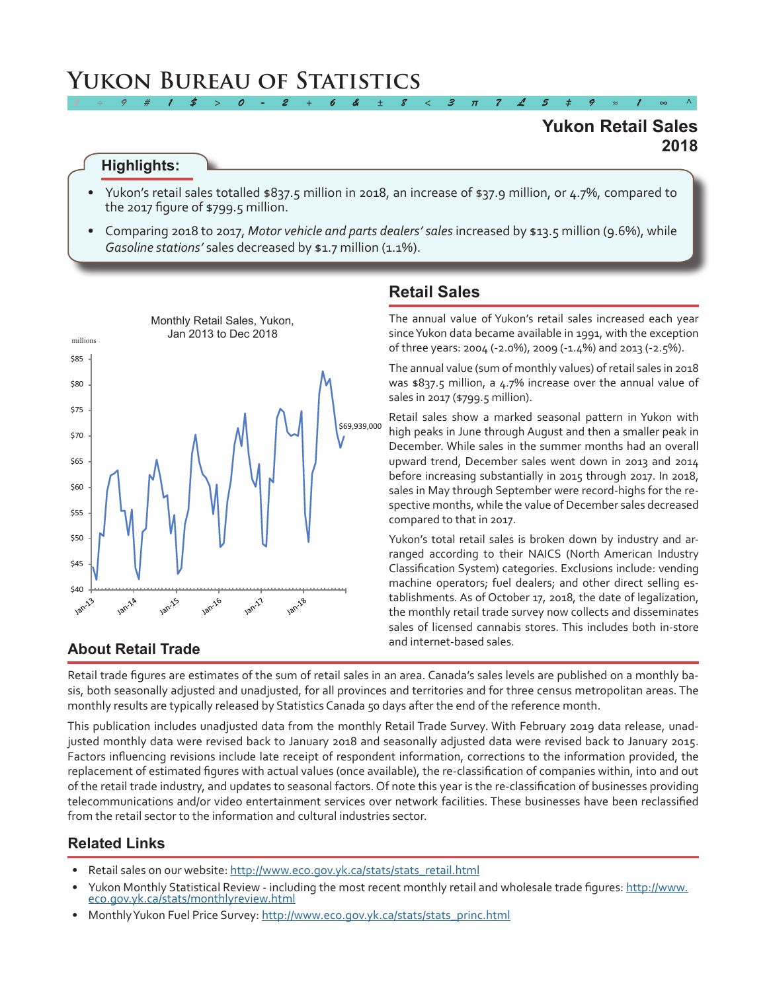# **Yukon Bureau of Statistics**

## **2018 Yukon Retail Sales**

#### **Highlights:**

Yukon's retail sales totalled \$837.5 million in 2018, an increase of \$37.9 million, or 4.7%, compared to the 2017 figure of \$799.5 million.

*2 ÷ 9 # 1 \$ > 0 - 2 + 6 & ± 8 < 3 π 7 £ 5 ‡ 9 ≈ 1 ∞ ^*

• Comparing 2018 to 2017, *Motor vehicle and parts dealers' sales* increased by \$13.5 million (9.6%), while Gasoline stations' sales decreased by \$1.7 million (1.1%).



## **Retail Sales**

The annual value of Yukon's retail sales increased each year sinceYukon data became available in 1991, with the exception of three years: 2004 (-2.0%), 2009 (-1.4%) and 2013 (-2.5%).

The annual value (sum of monthly values) of retail sales in 2018 was \$837.5 million, a 4.7% increase over the annual value of sales in 2017 (\$799.5 million).

Retail sales show a marked seasonal pattern in Yukon with high peaks in June through August and then a smaller peak in December. While sales in the summer months had an overall upward trend, December sales went down in 2013 and 2014 before increasing substantially in 2015 through 2017. In 2018, sales in May through September were record-highs for the respective months, while the value of December sales decreased compared to that in 2017.

Yukon's total retail sales is broken down by industry and arranged according to their NAICS (North American Industry Classification System) categories. Exclusions include: vending machine operators; fuel dealers; and other direct selling establishments. As of October 17, 2018, the date of legalization, the monthly retail trade survey now collects and disseminates sales of licensed cannabis stores. This includes both in-store and internet-based sales.

# **About Retail Trade**

Retail trade figures are estimates of the sum of retail sales in an area. Canada's sales levels are published on a monthly basis, both seasonally adjusted and unadjusted, for all provinces and territories and for three census metropolitan areas. The monthly results are typically released by Statistics Canada 50 days after the end of the reference month.

This publication includes unadjusted data from the monthly Retail Trade Survey. With February 2019 data release, unadjusted monthly data were revised back to January 2018 and seasonally adjusted data were revised back to January 2015. Factors influencing revisions include late receipt of respondent information, corrections to the information provided, the replacement of estimated figures with actual values (once available), the re-classification of companies within, into and out of the retail trade industry, and updates to seasonal factors. Of note this year is the re-classification of businesses providing telecommunications and/or video entertainment services over network facilities. These businesses have been reclassified from the retail sector to the information and cultural industries sector.

#### **Related Links**

- Retail sales on our website: [http://www.eco.gov.yk.ca/stats/stats\\_retail.html](http://www.eco.gov.yk.ca/stats/stats_retail.html)
- Yukon Monthly Statistical Review including the most recent monthly retail and wholesale trade figures: [http://www.](http://www.eco.gov.yk.ca/stats/monthlyreview.html) [eco.gov.yk.ca/stats/monthlyreview.html](http://www.eco.gov.yk.ca/stats/monthlyreview.html)
- Monthly Yukon Fuel Price Survey: [http://www.eco.gov.yk.ca/stats/stats\\_princ.html](http://www.eco.gov.yk.ca/stats/stats_princ.html)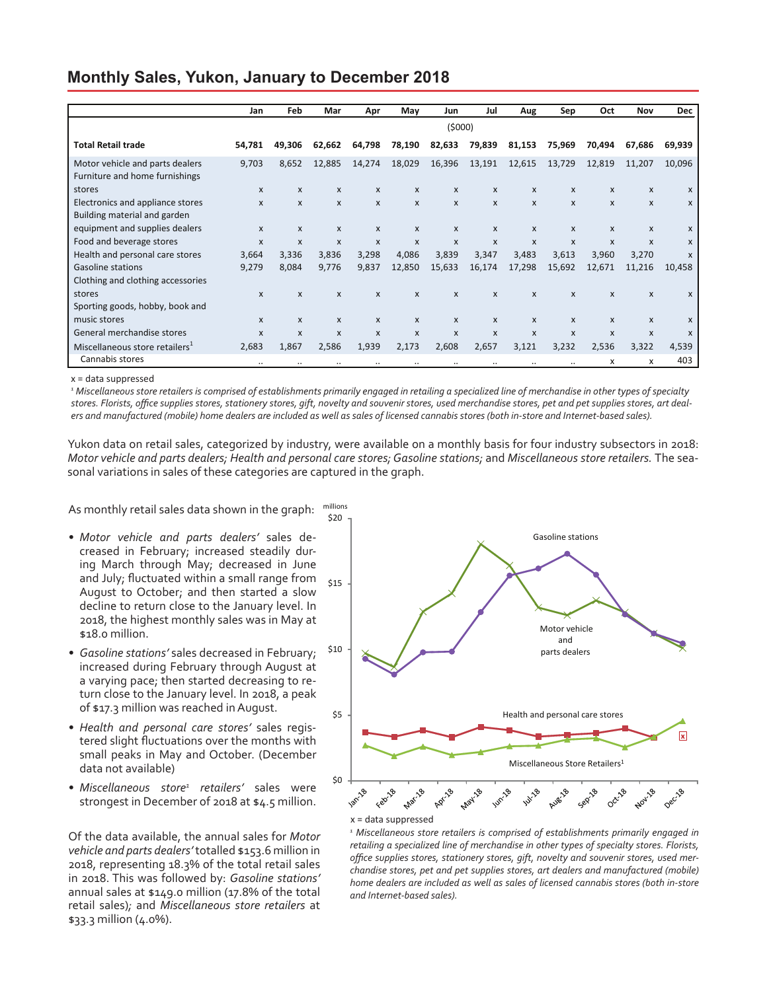#### **Monthly Sales, Yukon, January to December 2018**

|                                                                   | Jan          | <b>Feb</b>                | Mar                       | Apr                       | May                       | Jun          | Jul                       | Aug    | Sep          | Oct          | Nov                       | <b>Dec</b>                |
|-------------------------------------------------------------------|--------------|---------------------------|---------------------------|---------------------------|---------------------------|--------------|---------------------------|--------|--------------|--------------|---------------------------|---------------------------|
|                                                                   | (5000)       |                           |                           |                           |                           |              |                           |        |              |              |                           |                           |
| <b>Total Retail trade</b>                                         | 54,781       | 49,306                    | 62,662                    | 64,798                    | 78,190                    | 82,633       | 79,839                    | 81,153 | 75,969       | 70,494       | 67,686                    | 69,939                    |
| Motor vehicle and parts dealers<br>Furniture and home furnishings | 9,703        | 8,652                     | 12,885                    | 14,274                    | 18,029                    | 16,396       | 13,191                    | 12,615 | 13,729       | 12,819       | 11,207                    | 10,096                    |
| stores                                                            | X            | X                         | X                         | $\boldsymbol{\mathsf{x}}$ | $\mathsf{x}$              | X            | $\boldsymbol{\mathsf{x}}$ | X      | X            | $\mathsf{x}$ | X                         | X                         |
| Electronics and appliance stores                                  | $\mathbf{x}$ | $\mathsf{x}$              | X                         | $\mathsf{x}$              | $\mathsf{x}$              | X            | $\boldsymbol{\mathsf{x}}$ | X      | X            | $\mathsf{x}$ | X                         | X                         |
| Building material and garden                                      |              |                           |                           |                           |                           |              |                           |        |              |              |                           |                           |
| equipment and supplies dealers                                    | $\mathsf{x}$ | X                         | X                         | $\boldsymbol{\mathsf{x}}$ | $\mathsf{x}$              | X            | $\mathsf{x}$              | X      | X            | $\mathsf{x}$ | X                         | $\boldsymbol{\mathsf{x}}$ |
| Food and beverage stores                                          | $\mathbf{x}$ | $\boldsymbol{\mathsf{x}}$ | $\boldsymbol{\mathsf{x}}$ | $\boldsymbol{\mathsf{x}}$ | $\boldsymbol{\mathsf{x}}$ | X            | $\boldsymbol{\mathsf{x}}$ | X      | X            | $\mathsf{x}$ | $\boldsymbol{\mathsf{x}}$ | X                         |
| Health and personal care stores                                   | 3,664        | 3,336                     | 3,836                     | 3,298                     | 4,086                     | 3,839        | 3,347                     | 3,483  | 3,613        | 3,960        | 3,270                     | $\boldsymbol{\mathsf{x}}$ |
| <b>Gasoline stations</b>                                          | 9,279        | 8,084                     | 9,776                     | 9,837                     | 12,850                    | 15,633       | 16,174                    | 17,298 | 15,692       | 12,671       | 11,216                    | 10,458                    |
| Clothing and clothing accessories                                 |              |                           |                           |                           |                           |              |                           |        |              |              |                           |                           |
| stores                                                            | $\mathsf{x}$ | $\mathsf{x}$              | X                         | $\boldsymbol{\mathsf{x}}$ | $\boldsymbol{\mathsf{x}}$ | $\mathsf{x}$ | $\boldsymbol{\mathsf{x}}$ | X      | $\mathsf{x}$ | $\mathsf{x}$ | X                         | X                         |
| Sporting goods, hobby, book and                                   |              |                           |                           |                           |                           |              |                           |        |              |              |                           |                           |
| music stores                                                      | $\mathsf{x}$ | X                         | X                         | $\mathsf{x}$              | $\mathsf{x}$              | X            | X                         | X      | X            | X            | x                         | X                         |
| General merchandise stores                                        | $\mathsf{x}$ | $\mathsf{x}$              | $\boldsymbol{\mathsf{x}}$ | $\boldsymbol{\mathsf{x}}$ | $\boldsymbol{\mathsf{x}}$ | X            | $\boldsymbol{\mathsf{x}}$ | X      | $\mathsf{x}$ | $\mathsf{x}$ | X                         | X                         |
| Miscellaneous store retailers <sup>1</sup>                        | 2,683        | 1,867                     | 2,586                     | 1,939                     | 2,173                     | 2,608        | 2,657                     | 3,121  | 3,232        | 2,536        | 3,322                     | 4,539                     |
| Cannabis stores                                                   | $\cdot$ .    |                           |                           | $\cdot \cdot$             |                           | $\cdot$ .    |                           |        | $\cdot$ .    | x            | x                         | 403                       |

x = data suppressed

*1 Miscellaneous store retailers is comprised of establishments primarily engaged in retailing a specialized line of merchandise in other types of specialty stores. Florists, office supplies stores, stationery stores, gift, novelty and souvenir stores, used merchandise stores, pet and pet supplies stores, art dealers and manufactured (mobile) home dealers are included as well as sales of licensed cannabis stores (both in-store and Internet-based sales).*

Yukon data on retail sales, categorized by industry, were available on a monthly basis for four industry subsectors in 2018: *Motor vehicle and parts dealers; Health and personal care stores; Gasoline stations;* and *Miscellaneous store retailers.* The seasonal variations in sales of these categories are captured in the graph.

As monthly retail sales data shown in the graph: millions

- *• Motor vehicle and parts dealers'* sales decreased in February; increased steadily during March through May; decreased in June and July; fluctuated within a small range from August to October; and then started a slow decline to return close to the January level. In 2018, the highest monthly sales was in May at \$18.0 million.
- *• Gasoline stations'* sales decreased in February; increased during February through August at a varying pace; then started decreasing to return close to the January level. In 2018, a peak of \$17.3 million was reached inAugust.
- *• Health and personal care stores'* sales registered slight fluctuations over the months with small peaks in May and October. (December data not available)
- Miscellaneous store<sup>1</sup> retailers' sales were strongest in December of 2018 at \$4.5 million.

Of the data available, the annual sales for *Motor vehicle and parts dealers'* totalled \$153.6 million in 2018, representing 18.3% of the total retail sales in 2018. This was followed by: *Gasoline stations'*  annual sales at \$149.0 million (17.8% of the total retail sales)*;* and *Miscellaneous store retailers* at \$33.3 million (4.0%).



*1 Miscellaneous store retailers is comprised of establishments primarily engaged in retailing a specialized line of merchandise in other types of specialty stores. Florists, office supplies stores, stationery stores, gift, novelty and souvenir stores, used merchandise stores, pet and pet supplies stores, art dealers and manufactured (mobile) home dealers are included as well as sales of licensed cannabis stores (both in-store and Internet-based sales).*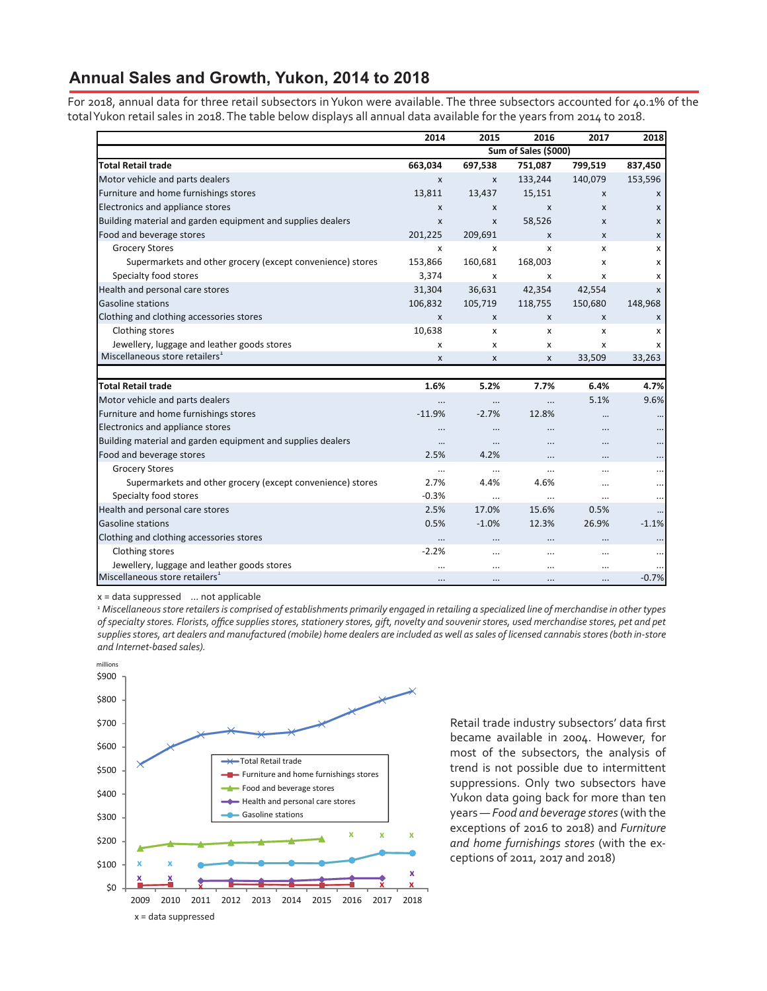#### **Annual Sales and Growth, Yukon, 2014 to 2018**

For 2018, annual data for three retail subsectors in Yukon were available. The three subsectors accounted for 40.1% of the totalYukon retail sales in 2018.The table below displays all annual data available for the years from 2014 to 2018.

|                                                             | 2014      | 2015                 | 2016      | 2017         | 2018                      |  |
|-------------------------------------------------------------|-----------|----------------------|-----------|--------------|---------------------------|--|
|                                                             |           | Sum of Sales (\$000) |           |              |                           |  |
| <b>Total Retail trade</b>                                   | 663,034   | 697,538              | 751,087   | 799,519      | 837,450                   |  |
| Motor vehicle and parts dealers                             | X         | $\mathsf{x}$         | 133,244   | 140,079      | 153,596                   |  |
| Furniture and home furnishings stores                       | 13,811    | 13,437               | 15,151    | $\mathsf{x}$ | $\mathsf{x}$              |  |
| Electronics and appliance stores                            | X         | X                    | X         | $\mathsf{x}$ | $\mathsf{x}$              |  |
| Building material and garden equipment and supplies dealers | X         | X                    | 58,526    | X            | X                         |  |
| Food and beverage stores                                    | 201,225   | 209,691              | X         | X            | X                         |  |
| <b>Grocery Stores</b>                                       | x         | x                    | X         | x            | x                         |  |
| Supermarkets and other grocery (except convenience) stores  | 153,866   | 160,681              | 168,003   | x            | x                         |  |
| Specialty food stores                                       | 3,374     | X                    | X         | x            | X                         |  |
| Health and personal care stores                             | 31,304    | 36,631               | 42,354    | 42,554       | $\boldsymbol{\mathsf{x}}$ |  |
| <b>Gasoline stations</b>                                    | 106,832   | 105,719              | 118,755   | 150,680      | 148,968                   |  |
| Clothing and clothing accessories stores                    | X         | X                    | X         | $\mathsf{x}$ | X                         |  |
| Clothing stores                                             | 10,638    | x                    | x         | х            | х                         |  |
| Jewellery, luggage and leather goods stores                 | x         | x                    | x         | x            | X                         |  |
| Miscellaneous store retailers <sup>1</sup>                  | x         | X                    | X         | 33,509       | 33,263                    |  |
|                                                             |           |                      |           |              |                           |  |
| <b>Total Retail trade</b>                                   | 1.6%      | 5.2%                 | 7.7%      | 6.4%         | 4.7%                      |  |
| Motor vehicle and parts dealers                             |           |                      |           | 5.1%         | 9.6%                      |  |
| Furniture and home furnishings stores                       | $-11.9%$  | $-2.7%$              | 12.8%     | $\cdots$     |                           |  |
| Electronics and appliance stores                            |           | $\cdots$             | $\ddotsc$ |              |                           |  |
| Building material and garden equipment and supplies dealers |           | $\ddotsc$            | $\ddotsc$ |              |                           |  |
| Food and beverage stores                                    | 2.5%      | 4.2%                 |           | $\cdots$     |                           |  |
| <b>Grocery Stores</b>                                       |           | $\cdots$             | $\cdots$  |              |                           |  |
| Supermarkets and other grocery (except convenience) stores  | 2.7%      | 4.4%                 | 4.6%      | $\cdots$     |                           |  |
| Specialty food stores                                       | $-0.3%$   |                      |           | $\cdots$     |                           |  |
| Health and personal care stores                             | 2.5%      | 17.0%                | 15.6%     | 0.5%         |                           |  |
| <b>Gasoline stations</b>                                    | 0.5%      | $-1.0%$              | 12.3%     | 26.9%        | $-1.1%$                   |  |
| Clothing and clothing accessories stores                    |           | $\cdots$             |           | $\cdots$     |                           |  |
| Clothing stores                                             | $-2.2%$   | $\cdots$             | $\cdots$  | $\cdots$     |                           |  |
| Jewellery, luggage and leather goods stores                 | $\ddotsc$ |                      | $\cdots$  | $\cdots$     |                           |  |
| Miscellaneous store retailers <sup>1</sup>                  | $\cdots$  | $\cdots$             |           |              | $-0.7%$                   |  |

x = data suppressed ... not applicable

*1 Miscellaneous store retailers is comprised of establishments primarily engaged in retailing a specialized line of merchandise in other types of specialty stores. Florists, office supplies stores, stationery stores, gift, novelty and souvenir stores, used merchandise stores, pet and pet supplies stores, art dealers and manufactured (mobile) home dealers are included as well as sales of licensed cannabis stores (both in-store and Internet-based sales).*



Retail trade industry subsectors' data first became available in 2004. However, for most of the subsectors, the analysis of trend is not possible due to intermittent suppressions. Only two subsectors have Yukon data going back for more than ten years — *Food and beverage stores* (with the exceptions of 2016 to 2018) and *Furniture and home furnishings stores* (with the exceptions of 2011, 2017 and 2018)